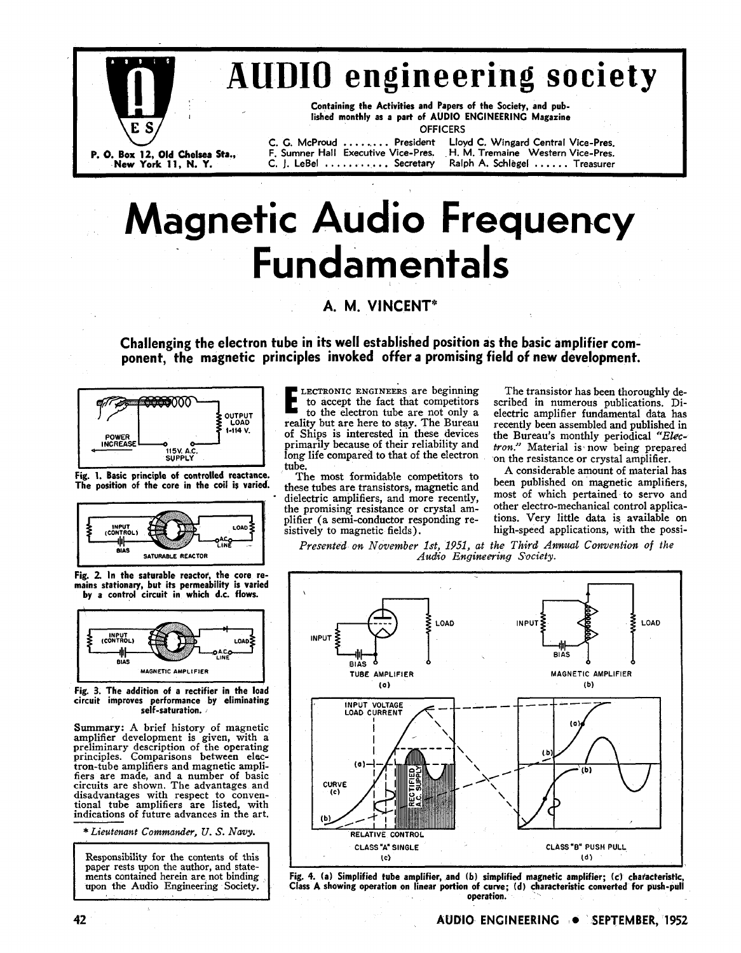

# **AUDIO engine Society, and pub-**<br>
Containing the Activities and Papers of the Society, and pub-<br>
Iished monthly as a part of AUDIO ENGINEERING Magazine<br>
C. G. McProud ........ President Lloyd C. Wingard Central Vice-Pres.<br>

Containing the Activities and Papers of the Society, and published monthly as a part of AUDIO ENGINEERING Magazine **OFFICERS** 

C. G. McProud . . . . . . . . President **P.** 0. Box 12, Old **Chelsea Sta.,** F. Sumner Hall Executive Vice-Pres. H. M. Tremaine Western Vice-Pres. C. J. LeBel . . . . . . . . . . . Secretary

# **Magnetic Audio Frequency Fundamentals**

### **A. M. VINCENT\***

**Challenging the electron tube in its well established position as the basic amplifier component, the magnetic principles invoked offer a promising field of new development.** 





Fig. 2. In the saturable reactor, the core re-<br>mains stationary, but its permeability is varied by a control circuit in which d.c. flows.



Fig. 3. The addition of a rectifier in the load circuit improves performance by eliminating self-saturation. ,

Summary: A brief history of magnetic amplifier development is given, with a preliminary description of the operating principles. Comparisons between electron-tube amplifiers and magnetic ampli- fiers are made, and a number of basic circuits are shown. The advantages and disadvantages with respect to conven- tional tube amplifiers are listed, with indications of future advances in the art.

\* *Liezltenant Commander,* **U.** *S. Navy.* 

Responsibility for the contents of this<br>paper rests upon the author, and statements contained herein are not binding upon the Audio Engineering Society.

**E** LECTRONIC ENGINEERS are beginning<br>to accept the fact that competitors<br>to the electron tube are not only a to accept the fact that competitors **the electron tube are not only a** reality but are here to stay. The Bureau of Ships is interested in these devices primarily because of their reliability and long life compared to that of the electron tube.<br>The most formidable competitors to

Fig. 1. Basic principle of controlled reactance. The most formidable competitors to The position of the core in the coil is varied. these tubes are transistors, magnetic and dielectric amplifiers, and more recently, the promising resistance or crystal amplifier (a semi-conductor responding re-<br>sistively to magnetic fields). high-speed applications, with the possi-

The transistor has been thoroughly described in numerous publications. Dielectric amplifier fundamental data has recently been assembled and published in the Bureau's monthly periodical *"Ehc*tron." Material is now being prepared on the resistance or crystal amplifier.

A considerable amount of material has been published on magnetic amplifiers, most of which pertained to servo and other electro-mechanical control applicahigh-speed applications, with the possi-

*Presented on November Ist, 1951, at the Third Anwual Convention of the Audio Engiwewing Society.* 



Fig. 4. (a) Simplified tube amplifier, and (b) simplified magnetic amplifier; (c) characteristic, Class **A** showing operation on linear portion of curve; (d) characteristic converted for push-pull operation.

42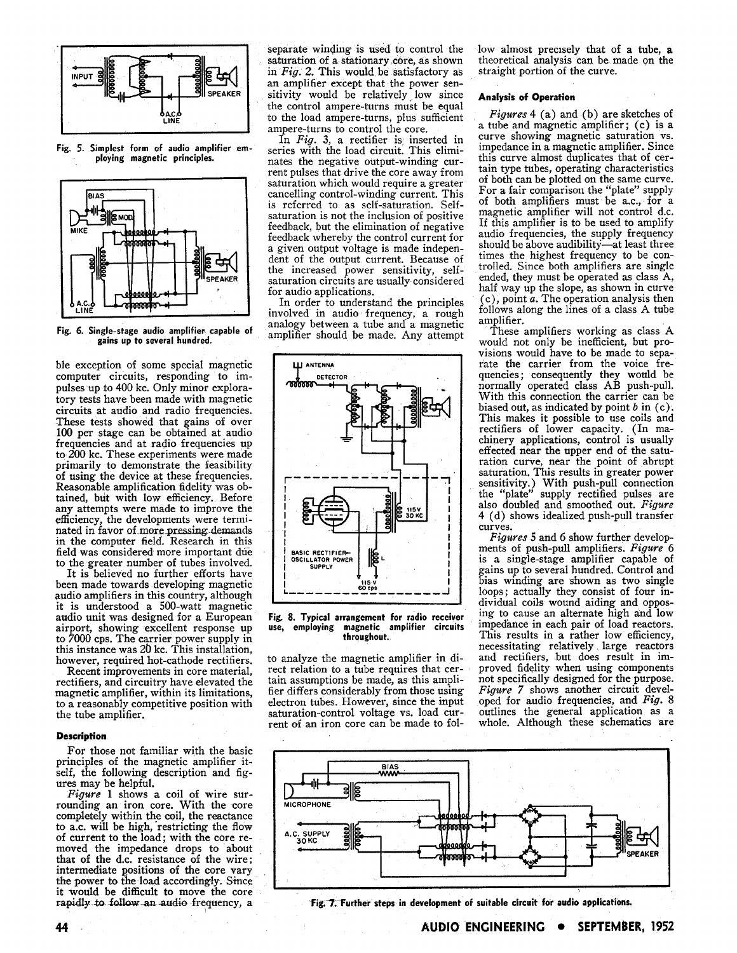

**Fig. 5. Simplest form of audio amplifier employing magnetic principles.** 



Fig. 6. Single-stage audio amplifier capable of **gains up to several hundred.** 

ble exception of some special magnetic computer circuits, responding to impulses up to 400 kc. Only minor exploratory tests have been made with magnetic circuits at audio and radio frequencies. These tests showed that gains of over 100 per stage can be obtained at audio frequencies and at radio frequencies up to 200 kc. These experiments were made primarily to demonstrate the feasibility of using the device at these frequencies. Reasonable amplification fidelity was obtained, but with low efficiency. Before any attempts were made to improve the efficiency, the developments were terminated in favor of more pressing **demands**  in the computer field. Research in this field was considered more important due to the greater number of tubes involved.

It is believed no further efforts have been made towards developing magnetic audio amplifiers in this country, although it is understood a 500-watt magnetic audio unit was designed for a European airport, showing excellent response up to 7000 cps. The carrier power supply in this instance was 20 kc. This installation, however, required hot-cathode rectifiers.

Recent improvements in core material, rectifiers, and circuitry have elevated the magnetic amplifier, within its limitations, to a reasonably competitive position with the tube amplifier.

#### **Description**

For those not familiar with the basic principles of the magnetic amplifier itself, the following description and figures may be helpful.

*Figure* 1 shows a coil of wire surrounding an iron core. With the core completely within the coil, the reactance to a.c. will be high, restricting the flow of current to the load; with the core removed the impedance drops to about that of the d.c. resistance of the wire; intermediate positions of the core vary the power to the load accordingly. Since it would be difficult to move the core rapidly to follow an audio frequency, a

separate winding is used to control the saturation of a stationary core, as shown in *Fig. 2.* This would be satisfactory as an amplifier except that the power sensitivity would be relatively low since the control ampere-turns must be equal to the load ampere-turns, plus sufficient ampere-turns to control the core.

In *Fig.* 3, a rectifier is inserted in series with the load circuit. This eliminates the negative output-winding current pulses that drive the core away from saturation which would require a greater cancelling control-winding current. This is referred to as self-saturation. Selfsaturation is not the inclusion of positive feedback, but the elimination of negative feedback whereby the control current for a given output voltage is made independent of the output current. Because of the increased power sensitivity, selfsaturation circuits are usually considered for audio applications.

In order to understand the principles involved in audio frequency, a rough analogy between a tube and a magnetic amplifier should be made. Any attempt



**Fig. 8. Typical arrangement for radio receiver use, employing magnetic amplifier circuits throughout.** 

to analyze the magnetic amplifier in direct relation to a tube requires that certain assumptions be made, as this amplifier differs considerably from those using electron tubes. However, since the input saturation-control voltage vs. load current of an iron core can be made to follow almost precisely that of a tube, a theoretical analysis can be made on the straight portion of the curve.

#### **Analysis of Operation**

*Figures 4* (a) and (b) are sketches of a tube and magnetic amplifier; (c) is a curve showing magnetic saturation vs. impedance in a magnetic amplifier. Since this curve almost duplicates that of certain type tubes, operating characteristics of both can be plotted on the same curve. For a fair comparison the "plate" supply of both amplifiers must be a.c., for a magnetic amplifier will not control d.c. If this amplifier is to be used to amplify audio frequencies, the supply frequency should be above audibility-at least three times the highest frequency to be controlled. Since both amplifiers are single ended, they must be operated as class A, half way up the slope, as shown in curve (c), point a. The operation analysis then follows along the lines of a class A tube amplifier.

These amplifiers working as class A would not only be inefficient, but provisions would have to be made to separate the carrier from the voice frequencies; consequently they would be normally operated class AB push-pull. With this connection the carrier can be biased out, as indicated by point  $b$  in  $(c)$ . This makes it possible to use coils and rectifiers of lower capacity. (In machinery applications, control is usually effected near the upper end of the saturation curve, near the point of abrupt saturation. This results in greater power sensitivity.) With push-pull connection the "plate" supply rectified pulses are also doubled and smoothed out. *Figure*  4 (d) shows idealized push-pull transfer curves.

*Figures* 5 and *6* show further developments of push-pull amplifiers. *Figure 6*  is *a* single-stage amplifier capable of gains up to several hundred. Control and bias windmg are sbown as two single loops; actually they consist of four individual coils wound aiding and opposing to cause an alternate high and low impedance in each pair of load reactors. This results in a rather low efficiency, necessitating relatively large reactors and rectifiers, but does result in improved fidelity when using components not specifically designed for the purpose. *Figure* 7 shows another circuit developed for audio frequencies, and *Fig.* 8 outlines the general application as a whole. Although these schematics are



Fig. 7. Further steps in development of suitable circuit for audio applications.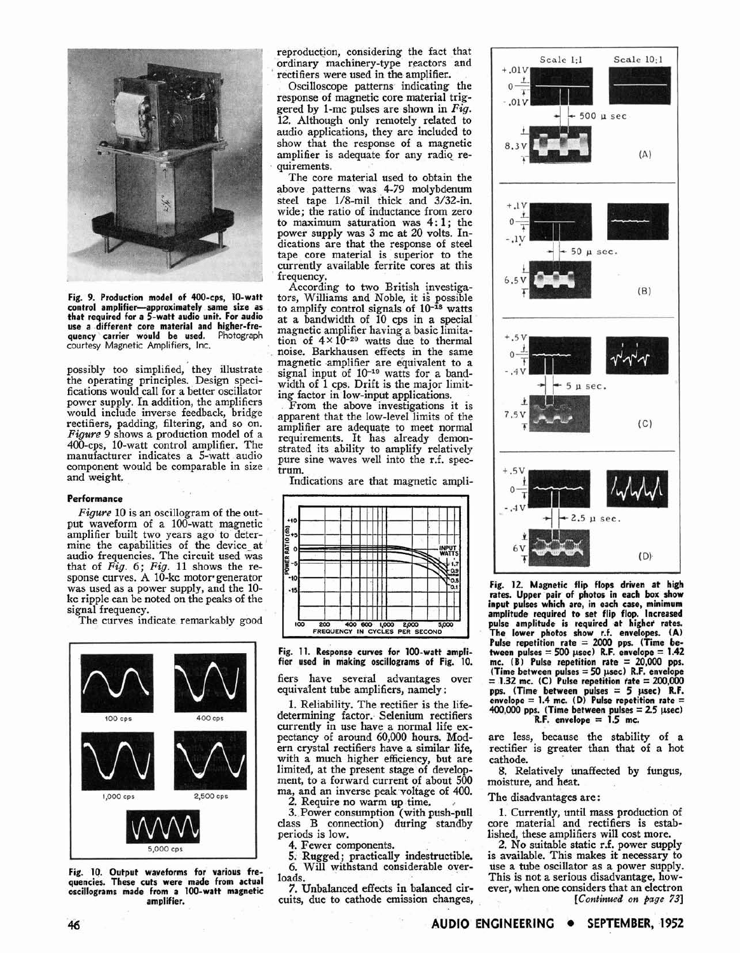

**Fig. 9. Production model of 400-cps, 10-watt control amplifier-approximately same size as that required for a 5-watt audio unit. For audio use a different core material and higher-fre-quency carrier would be used.** Photograph courtesy Magnetic Amplifiers, Inc.

possibly too simplified, they illustrate the operating principles. Design specifications would call for a better oscillator power supply. In addition, the amplifiers would include inverse feedback, bridge rectifiers, padding, filtering, and so on. *Figwe 9* shows a production model of a 400-cps, 10-watt control amplifier. The manufacturer indicates a 5-watt audio component would be comparable in size and weight.

#### **Performance**

*Figure* 10 is an oscillogram of the output waveform of a 100-watt magnetic amplifier built two years ago to determine the capabilities of the device-at audio frequencies. The circuit used was that of *Fig. 6; Fig.* 11 shows the response curves. A 10-kc motor generator was used as a power supply, and the 10 kc ripple can be noted on the peaks of the signal frequency.

The curves indicate remarkably good



**Fig. 10. Output waveforms for various frequencies. These cuts were made from actual oscillograms made from a 100-watt magnetic amplifier.** 

reproduction, considering the fact that ordinary machinery-type reactors and rectifiers were used in the amplifier.

Oscilloscope patterns indicating the response of magnetic core material triggered by 1-mc pulses are shown in *Fig.*  12. Although only remotely related to audio applications, they are included to show that the response of a magnetic amplifier is adequate for any radio requirements.

The core material used to obtain the above patterns was 4-79 molybdenum steel tape 1/8-mil thick and 3/32-in. wide; the ratio of inductance from zero to maximum saturation was 4:1; the power supply was **3** mc at 20 volts. Indications are that the response of steel tape core material is superior to the currently available ferrite cores at this frequency.

According to two British investigators, Williams and Noble, it is possible to amplify control signals of  $10^{-18}$  watts at a bandwidth of 10 cps in a special magnetic amplifier having a basic limitation of  $4 \times 10^{-20}$  watts due to thermal noise. Barkhausen effects in the same magnetic amplifier are equivalent to a signal input of  $10^{-19}$  watts for a bandwidth of 1 cps. Drift is the major limiting factor in low-input applications.

From the above investigations it is apparent that the low-level limits of the amplifier are adequate to meet normal requirements. It has already demonstrated its ability to amplify relatively pure sine waves well into the r.f. spectrum.

Indications are that magnetic ampli-



**Fig. 11. Response curves for 100-watt amplifier used in making oscillograms of Fig. 10.** 

fiers have several advantages over equivalent tube amplifiers, namely :

1. Reliability. The rectifier is the lifedetermining factor. Selenium rectifiers currently in use have a normal life expectancy of around 60,000 hours. Modern crystal rectifiers have a similar life, with a much higher efficiency, but are limited, at the present stage of development, to a forward current of about 500 ma, and an inverse peak voltage of 400.

*2.* Require no warm up time.

**3.** Power consumption (with push-pull class B connection) during standby periods is low.<br>4. Fewer components.

5. Rugged; practically indestructible. *6.* Will withstand considerable overloads.

7. Unbalanced effects in balanced circuits, due to cathode emission changes,



**Fig. 12. Magnetic flip flops driven at high rates. Upper pair of photos in each box show input pulses which are, in each case, minimum amplitude required to set flip flop. Increased pulse amplitude is required at highet rates. The lower photos show r.f. envelopes. (A) Pulse repetition rate** = **2000 pps. (Time between pulses** = **500 psec) R.F. envelope** = **1.42 mc. (B) Pulse repetition rate** = **20,000 pps. (Time between pulses** = **50 psec) R.F. envelope**  = **1.32 mc. (C) Pulse repetition fate** = **200,000 pps. (Time between pulses** = **5 psec) R.F. envelope** = **1.4 mc. (Dl Pulse repetition rate** = **400,000 pps. (Time between pulses** = **2.5 psec) R.F. envelope** = **1.5 mc.** 

are less, because the stability of a rectifier is greater than that of a hot cathode.

8. Relatively unaffected by fungus, moisture, and heat.

The disadvantages are :

1. Currently, until mass production of core material and rectifiers is estab-<br>lished, these amplifiers will cost more.

2. No suitable static r.f. power supply is available. This makes it necessary to use a tube oscillator as a power supply. This is not a serious disadvantage, however, when one considers that an electron *[Continwed on page* **731**